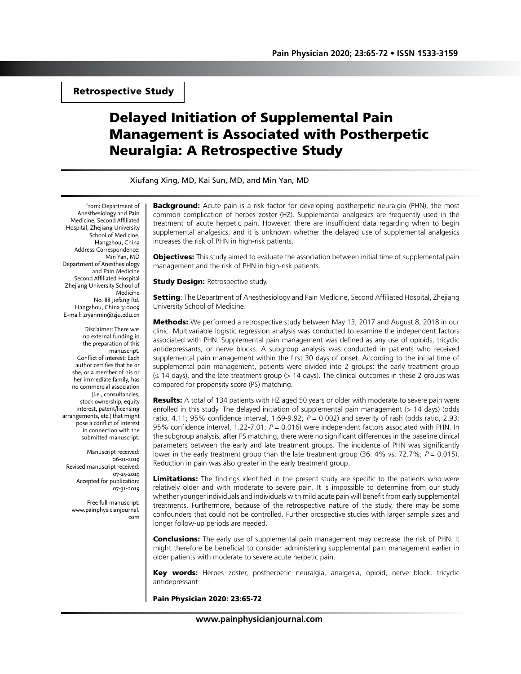Retrospective Study

# Delayed Initiation of Supplemental Pain Management is Associated with Postherpetic Neuralgia: A Retrospective Study

Xiufang Xing, MD, Kai Sun, MD, and Min Yan, MD

From: Department of Anesthesiology and Pain Medicine, Second Affiliated Hospital, Zhejiang University School of Medicine, Hangzhou, China Address Correspondence: Min Yan, MD Department of Anesthesiology and Pain Medicine Second Affiliated Hospital Zhejiang University School of Medicine No. 88 Jiefang Rd. Hangzhou, China 310009 E-mail: zryanmin@zju.edu.cn

Disclaimer: There was no external funding in the preparation of this manuscript. Conflict of interest: Each author certifies that he or she, or a member of his or her immediate family, has no commercial association (i.e., consultancies, stock ownership, equity interest, patent/licensing arrangements, etc.) that might pose a conflict of interest in connection with the submitted manuscript.

Manuscript received: 06-11-2019 Revised manuscript received: 07-15-2019 Accepted for publication: 07-31-2019

Free full manuscript: www.painphysicianjournal. com Background: Acute pain is a risk factor for developing postherpetic neuralgia (PHN), the most common complication of herpes zoster (HZ). Supplemental analgesics are frequently used in the treatment of acute herpetic pain. However, there are insufficient data regarding when to begin supplemental analgesics, and it is unknown whether the delayed use of supplemental analgesics increases the risk of PHN in high-risk patients.

Objectives: This study aimed to evaluate the association between initial time of supplemental pain management and the risk of PHN in high-risk patients.

**Study Design: Retrospective study.** 

**Setting:** The Department of Anesthesiology and Pain Medicine, Second Affiliated Hospital, Zhejiang University School of Medicine.

**Methods:** We performed a retrospective study between May 13, 2017 and August 8, 2018 in our clinic. Multivariable logistic regression analysis was conducted to examine the independent factors associated with PHN. Supplemental pain management was defined as any use of opioids, tricyclic antidepressants, or nerve blocks. A subgroup analysis was conducted in patients who received supplemental pain management within the first 30 days of onset. According to the initial time of supplemental pain management, patients were divided into 2 groups: the early treatment group (≤ 14 days), and the late treatment group (> 14 days). The clinical outcomes in these 2 groups was compared for propensity score (PS) matching.

Results: A total of 134 patients with HZ aged 50 years or older with moderate to severe pain were enrolled in this study. The delayed initiation of supplemental pain management (> 14 days) (odds ratio, 4.11; 95% confidence interval, 1.69-9.92;  $P = 0.002$ ) and severity of rash (odds ratio, 2.93; 95% confidence interval, 1.22-7.01;  $P = 0.016$ ) were independent factors associated with PHN. In the subgroup analysis, after PS matching, there were no significant differences in the baseline clinical parameters between the early and late treatment groups. The incidence of PHN was significantly lower in the early treatment group than the late treatment group (36. 4% vs. 72.7%;  $P = 0.015$ ). Reduction in pain was also greater in the early treatment group.

Limitations: The findings identified in the present study are specific to the patients who were relatively older and with moderate to severe pain. It is impossible to determine from our study whether younger individuals and individuals with mild acute pain will benefit from early supplemental treatments. Furthermore, because of the retrospective nature of the study, there may be some confounders that could not be controlled. Further prospective studies with larger sample sizes and longer follow-up periods are needed.

Conclusions: The early use of supplemental pain management may decrease the risk of PHN. It might therefore be beneficial to consider administering supplemental pain management earlier in older patients with moderate to severe acute herpetic pain.

Key words: Herpes zoster, postherpetic neuralgia, analgesia, opioid, nerve block, tricyclic antidepressant

Pain Physician 2020: 23:65-72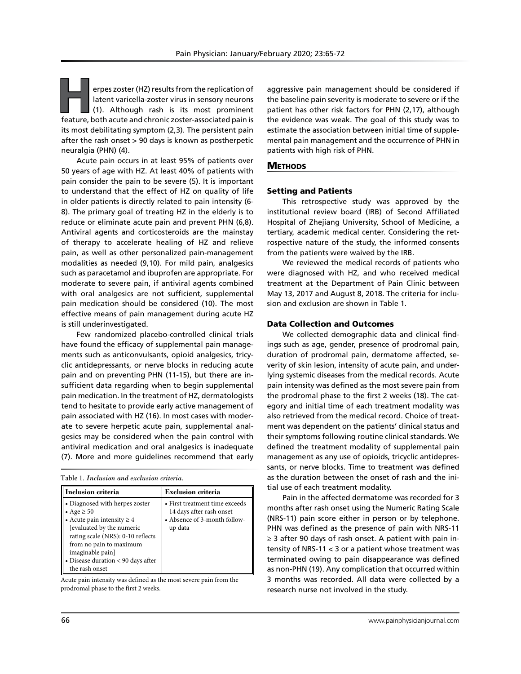erpes zoster (HZ) results from the replication of latent varicella-zoster virus in sensory neurons (1). Although rash is its most prominent feature, both acute and chronic zoster-associated pain is its most debilitating symptom (2,3). The persistent pain after the rash onset > 90 days is known as postherpetic neuralgia (PHN) (4).

Acute pain occurs in at least 95% of patients over 50 years of age with HZ. At least 40% of patients with pain consider the pain to be severe (5). It is important to understand that the effect of HZ on quality of life in older patients is directly related to pain intensity (6- 8). The primary goal of treating HZ in the elderly is to reduce or eliminate acute pain and prevent PHN (6,8). Antiviral agents and corticosteroids are the mainstay of therapy to accelerate healing of HZ and relieve pain, as well as other personalized pain-management modalities as needed (9,10). For mild pain, analgesics such as paracetamol and ibuprofen are appropriate. For moderate to severe pain, if antiviral agents combined with oral analgesics are not sufficient, supplemental pain medication should be considered (10). The most effective means of pain management during acute HZ is still underinvestigated.

Few randomized placebo-controlled clinical trials have found the efficacy of supplemental pain managements such as anticonvulsants, opioid analgesics, tricyclic antidepressants, or nerve blocks in reducing acute pain and on preventing PHN (11-15), but there are insufficient data regarding when to begin supplemental pain medication. In the treatment of HZ, dermatologists tend to hesitate to provide early active management of pain associated with HZ (16). In most cases with moderate to severe herpetic acute pain, supplemental analgesics may be considered when the pain control with antiviral medication and oral analgesics is inadequate (7). More and more guidelines recommend that early

Table 1. *Inclusion and exclusion criteria.*

| Inclusion criteria                                                                                                                                                                                                                                            | <b>Exclusion criteria</b>                                                                             |
|---------------------------------------------------------------------------------------------------------------------------------------------------------------------------------------------------------------------------------------------------------------|-------------------------------------------------------------------------------------------------------|
| • Diagnosed with herpes zoster<br>• Age $\geq 50$<br>• Acute pain intensity $\geq 4$<br>[evaluated by the numeric<br>rating scale (NRS): 0-10 reflects<br>from no pain to maximum<br>imaginable pain]<br>• Disease duration < 90 days after<br>the rash onset | • First treatment time exceeds<br>14 days after rash onset<br>• Absence of 3-month follow-<br>up data |

Acute pain intensity was defined as the most severe pain from the prodromal phase to the first 2 weeks.

aggressive pain management should be considered if the baseline pain severity is moderate to severe or if the patient has other risk factors for PHN (2,17), although the evidence was weak. The goal of this study was to estimate the association between initial time of supplemental pain management and the occurrence of PHN in patients with high risk of PHN.

## **METHODS**

## Setting and Patients

This retrospective study was approved by the institutional review board (IRB) of Second Affiliated Hospital of Zhejiang University, School of Medicine, a tertiary, academic medical center. Considering the retrospective nature of the study, the informed consents from the patients were waived by the IRB.

We reviewed the medical records of patients who were diagnosed with HZ, and who received medical treatment at the Department of Pain Clinic between May 13, 2017 and August 8, 2018. The criteria for inclusion and exclusion are shown in Table 1.

## Data Collection and Outcomes

We collected demographic data and clinical findings such as age, gender, presence of prodromal pain, duration of prodromal pain, dermatome affected, severity of skin lesion, intensity of acute pain, and underlying systemic diseases from the medical records. Acute pain intensity was defined as the most severe pain from the prodromal phase to the first 2 weeks (18). The category and initial time of each treatment modality was also retrieved from the medical record. Choice of treatment was dependent on the patients' clinical status and their symptoms following routine clinical standards. We defined the treatment modality of supplemental pain management as any use of opioids, tricyclic antidepressants, or nerve blocks. Time to treatment was defined as the duration between the onset of rash and the initial use of each treatment modality.

Pain in the affected dermatome was recorded for 3 months after rash onset using the Numeric Rating Scale (NRS-11) pain score either in person or by telephone. PHN was defined as the presence of pain with NRS-11 ≥ 3 after 90 days of rash onset. A patient with pain intensity of NRS-11 < 3 or a patient whose treatment was terminated owing to pain disappearance was defined as non-PHN (19). Any complication that occurred within 3 months was recorded. All data were collected by a research nurse not involved in the study.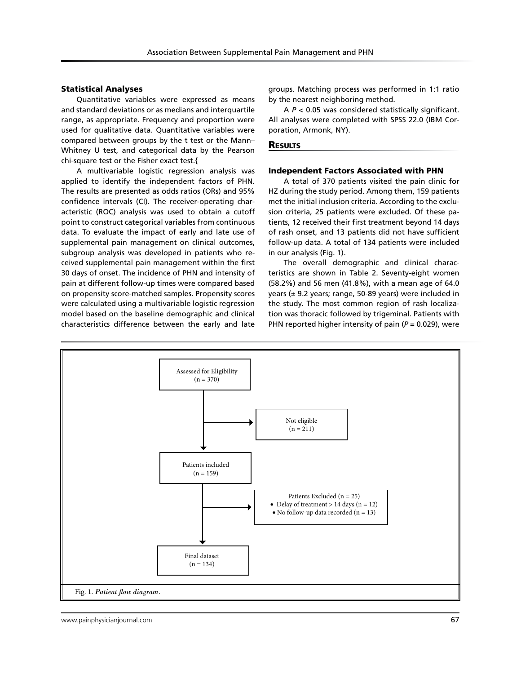### Statistical Analyses

Quantitative variables were expressed as means and standard deviations or as medians and interquartile range, as appropriate. Frequency and proportion were used for qualitative data. Quantitative variables were compared between groups by the t test or the Mann– Whitney U test, and categorical data by the Pearson chi-square test or the Fisher exact test.{

A multivariable logistic regression analysis was applied to identify the independent factors of PHN. The results are presented as odds ratios (ORs) and 95% confidence intervals (CI). The receiver-operating characteristic (ROC) analysis was used to obtain a cutoff point to construct categorical variables from continuous data. To evaluate the impact of early and late use of supplemental pain management on clinical outcomes, subgroup analysis was developed in patients who received supplemental pain management within the first 30 days of onset. The incidence of PHN and intensity of pain at different follow-up times were compared based on propensity score-matched samples. Propensity scores were calculated using a multivariable logistic regression model based on the baseline demographic and clinical characteristics difference between the early and late

groups. Matching process was performed in 1:1 ratio by the nearest neighboring method.

A *P* < 0.05 was considered statistically significant. All analyses were completed with SPSS 22.0 (IBM Corporation, Armonk, NY).

#### **RESULTS**

#### Independent Factors Associated with PHN

A total of 370 patients visited the pain clinic for HZ during the study period. Among them, 159 patients met the initial inclusion criteria. According to the exclusion criteria, 25 patients were excluded. Of these patients, 12 received their first treatment beyond 14 days of rash onset, and 13 patients did not have sufficient follow-up data. A total of 134 patients were included in our analysis (Fig. 1).

The overall demographic and clinical characteristics are shown in Table 2. Seventy-eight women (58.2%) and 56 men (41.8%), with a mean age of 64.0 years (± 9.2 years; range, 50-89 years) were included in the study. The most common region of rash localization was thoracic followed by trigeminal. Patients with PHN reported higher intensity of pain (*P* = 0.029), were

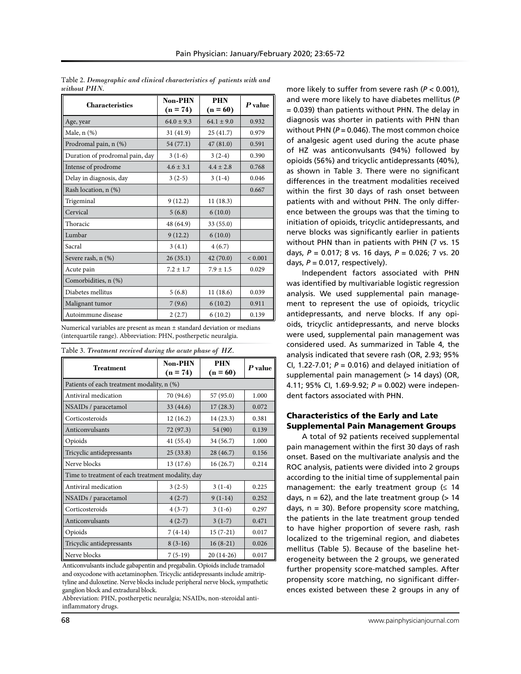| <b>Characteristics</b>          | Non-PHN        | <b>PHN</b>     | P value     |  |
|---------------------------------|----------------|----------------|-------------|--|
|                                 | $(n = 74)$     | $(n = 60)$     |             |  |
| Age, year                       | $64.0 \pm 9.3$ | $64.1 \pm 9.0$ | 0.932       |  |
| Male, n (%)                     | 31(41.9)       | 25(41.7)       | 0.979       |  |
| Prodromal pain, n (%)           | 54 (77.1)      | 47(81.0)       | 0.591       |  |
| Duration of prodromal pain, day | $3(1-6)$       | $3(2-4)$       | 0.390       |  |
| Intense of prodrome             | $4.6 \pm 3.1$  | $4.4 + 2.8$    | 0.768       |  |
| Delay in diagnosis, day         | $3(2-5)$       | $3(1-4)$       | 0.046       |  |
| Rash location, n (%)            |                |                | 0.667       |  |
| Trigeminal                      | 9(12.2)        | 11(18.3)       |             |  |
| Cervical                        | 5(6.8)         | 6(10.0)        |             |  |
| Thoracic                        | 48 (64.9)      | 33 (55.0)      |             |  |
| Lumbar                          | 9(12.2)        | 6(10.0)        |             |  |
| Sacral                          | 3(4.1)         | 4(6.7)         |             |  |
| Severe rash, n (%)              | 26(35.1)       | 42(70.0)       | ${}< 0.001$ |  |
| Acute pain                      | $7.2 \pm 1.7$  | $7.9 \pm 1.5$  | 0.029       |  |
| Comorbidities, n (%)            |                |                |             |  |
| Diabetes mellitus               | 5(6.8)         | 11(18.6)       | 0.039       |  |
| Malignant tumor                 | 7(9.6)         | 6(10.2)        | 0.911       |  |
| Autoimmune disease              | 2(2.7)         | 6(10.2)        | 0.139       |  |

Table 2. *Demographic and clinical characteristics of patients with and without PHN.* 

Numerical variables are present as mean ± standard deviation or medians (interquartile range). Abbreviation: PHN, postherpetic neuralgia.

Table 3. *Treatment received during the acute phase of HZ.* 

| Treatment                                         | Non-PHN<br>$(n = 74)$ | <b>PHN</b><br>$(n = 60)$ | P value |  |  |  |  |
|---------------------------------------------------|-----------------------|--------------------------|---------|--|--|--|--|
| Patients of each treatment modality, n (%)        |                       |                          |         |  |  |  |  |
| Antiviral medication                              | 70 (94.6)             | 57 (95.0)                | 1.000   |  |  |  |  |
| NSAIDs / paracetamol                              | 33 (44.6)             | 17(28.3)                 | 0.072   |  |  |  |  |
| Corticosteroids                                   | 12(16.2)              | 14(23.3)                 | 0.381   |  |  |  |  |
| Anticonvulsants                                   | 72 (97.3)             | 54 (90)                  | 0.139   |  |  |  |  |
| Opioids                                           | 41 (55.4)             | 34 (56.7)                | 1.000   |  |  |  |  |
| Tricyclic antidepressants                         | 25(33.8)              | 28 (46.7)                | 0.156   |  |  |  |  |
| Nerve blocks                                      | 13 (17.6)             | 16(26.7)                 | 0.214   |  |  |  |  |
| Time to treatment of each treatment modality, day |                       |                          |         |  |  |  |  |
| Antiviral medication                              | $3(2-5)$              | $3(1-4)$                 | 0.225   |  |  |  |  |
| NSAIDs / paracetamol                              | $4(2-7)$              | $9(1-14)$                | 0.252   |  |  |  |  |
| Corticosteroids                                   | $4(3-7)$              | $3(1-6)$                 |         |  |  |  |  |
| Anticonvulsants                                   | $4(2-7)$<br>$3(1-7)$  |                          | 0.471   |  |  |  |  |
| Opioids                                           | $7(4-14)$             | $15(7-21)$               | 0.017   |  |  |  |  |
| Tricyclic antidepressants                         | $8(3-16)$             | $16(8-21)$               | 0.026   |  |  |  |  |
| Nerve blocks                                      | $7(5-19)$             | 20 (14-26)               | 0.017   |  |  |  |  |

Anticonvulsants include gabapentin and pregabalin. Opioids include tramadol and oxycodone with acetaminophen. Tricyclic antidepressants include amitriptyline and duloxetine. Nerve blocks include peripheral nerve block, sympathetic ganglion block and extradural block.

Abbreviation: PHN, postherpetic neuralgia; NSAIDs, non-steroidal antiinflammatory drugs.

more likely to suffer from severe rash (*P* < 0.001), and were more likely to have diabetes mellitus (*P* = 0.039) than patients without PHN. The delay in diagnosis was shorter in patients with PHN than without PHN ( $P = 0.046$ ). The most common choice of analgesic agent used during the acute phase of HZ was anticonvulsants (94%) followed by opioids (56%) and tricyclic antidepressants (40%), as shown in Table 3. There were no significant differences in the treatment modalities received within the first 30 days of rash onset between patients with and without PHN. The only difference between the groups was that the timing to initiation of opioids, tricyclic antidepressants, and nerve blocks was significantly earlier in patients without PHN than in patients with PHN (7 vs. 15 days, *P* = 0.017; 8 vs. 16 days, *P* = 0.026; 7 vs. 20 days,  $P = 0.017$ , respectively).

Independent factors associated with PHN was identified by multivariable logistic regression analysis. We used supplemental pain management to represent the use of opioids, tricyclic antidepressants, and nerve blocks. If any opioids, tricyclic antidepressants, and nerve blocks were used, supplemental pain management was considered used. As summarized in Table 4, the analysis indicated that severe rash (OR, 2.93; 95% CI, 1.22-7.01;  $P = 0.016$ ) and delayed initiation of supplemental pain management (> 14 days) (OR, 4.11; 95% CI, 1.69-9.92; *P* = 0.002) were independent factors associated with PHN.

## Characteristics of the Early and Late Supplemental Pain Management Groups

A total of 92 patients received supplemental pain management within the first 30 days of rash onset. Based on the multivariate analysis and the ROC analysis, patients were divided into 2 groups according to the initial time of supplemental pain management: the early treatment group  $(≤ 14)$ days,  $n = 62$ ), and the late treatment group ( $> 14$ days,  $n = 30$ ). Before propensity score matching, the patients in the late treatment group tended to have higher proportion of severe rash, rash localized to the trigeminal region, and diabetes mellitus (Table 5). Because of the baseline heterogeneity between the 2 groups, we generated further propensity score-matched samples. After propensity score matching, no significant differences existed between these 2 groups in any of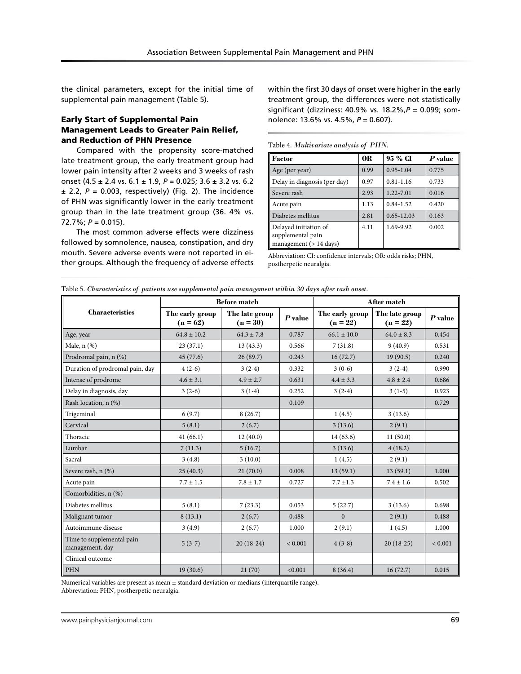the clinical parameters, except for the initial time of supplemental pain management (Table 5).

## Early Start of Supplemental Pain Management Leads to Greater Pain Relief, and Reduction of PHN Presence

Compared with the propensity score-matched late treatment group, the early treatment group had lower pain intensity after 2 weeks and 3 weeks of rash onset (4.5 ± 2.4 vs. 6.1 ± 1.9, *P* = 0.025; 3.6 ± 3.2 vs. 6.2  $\pm$  2.2,  $P = 0.003$ , respectively) (Fig. 2). The incidence of PHN was significantly lower in the early treatment group than in the late treatment group (36. 4% vs. 72.7%; *P* = 0.015).

The most common adverse effects were dizziness followed by somnolence, nausea, constipation, and dry mouth. Severe adverse events were not reported in either groups. Although the frequency of adverse effects within the first 30 days of onset were higher in the early treatment group, the differences were not statistically significant (dizziness: 40.9% vs. 18.2%,*P* = 0.099; somnolence: 13.6% vs. 4.5%, *P* = 0.607).

Table 4. *Multivariate analysis of PHN.*

| <b>Factor</b>                                                           | 0R   | 95 % CI        | P value |
|-------------------------------------------------------------------------|------|----------------|---------|
| Age (per year)                                                          | 0.99 | $0.95 - 1.04$  | 0.775   |
| Delay in diagnosis (per day)                                            | 0.97 | $0.81 - 1.16$  | 0.733   |
| Severe rash                                                             | 2.93 | 1.22-7.01      | 0.016   |
| Acute pain                                                              | 1.13 | $0.84 - 1.52$  | 0.420   |
| Diabetes mellitus                                                       | 2.81 | $0.65 - 12.03$ | 0.163   |
| Delayed initiation of<br>supplemental pain<br>management ( $> 14$ days) | 4.11 | 1.69-9.92      | 0.002   |

Abbreviation: CI: confidence intervals; OR: odds risks; PHN, postherpetic neuralgia.

| Table 5. Characteristics of patients use supplemental pain management within 30 days after rash onset. |  |  |  |
|--------------------------------------------------------------------------------------------------------|--|--|--|
|                                                                                                        |  |  |  |

|                                              | <b>Before match</b>           |                              |             | After match                   |                              |             |
|----------------------------------------------|-------------------------------|------------------------------|-------------|-------------------------------|------------------------------|-------------|
| <b>Characteristics</b>                       | The early group<br>$(n = 62)$ | The late group<br>$(n = 30)$ | $P$ value   | The early group<br>$(n = 22)$ | The late group<br>$(n = 22)$ | $P$ value   |
| Age, year                                    | $64.8 \pm 10.2$               | $64.3 \pm 7.8$               | 0.787       | $66.1 \pm 10.0$               | $64.0 \pm 8.3$               | 0.454       |
| Male, $n$ $(\%)$                             | 23(37.1)                      | 13(43.3)                     | 0.566       | 7(31.8)                       | 9(40.9)                      | 0.531       |
| Prodromal pain, n (%)                        | 45(77.6)                      | 26(89.7)                     | 0.243       | 16(72.7)                      | 19(90.5)                     | 0.240       |
| Duration of prodromal pain, day              | $4(2-6)$                      | $3(2-4)$                     | 0.332       | $3(0-6)$                      | $3(2-4)$                     | 0.990       |
| Intense of prodrome                          | $4.6 \pm 3.1$                 | $4.9 \pm 2.7$                | 0.631       | $4.4 \pm 3.3$                 | $4.8 \pm 2.4$                | 0.686       |
| Delay in diagnosis, day                      | $3(2-6)$                      | $3(1-4)$                     | 0.252       | $3(2-4)$                      | $3(1-5)$                     | 0.923       |
| Rash location, n (%)                         |                               |                              | 0.109       |                               |                              | 0.729       |
| Trigeminal                                   | 6(9.7)                        | 8(26.7)                      |             | 1(4.5)                        | 3(13.6)                      |             |
| Cervical                                     | 5(8.1)                        | 2(6.7)                       |             | 3(13.6)                       | 2(9.1)                       |             |
| Thoracic                                     | 41(66.1)                      | 12(40.0)                     |             | 14(63.6)                      | 11(50.0)                     |             |
| Lumbar                                       | 7(11.3)                       | 5(16.7)                      |             | 3(13.6)                       | 4(18.2)                      |             |
| Sacral                                       | 3(4.8)                        | 3(10.0)                      |             | 1(4.5)                        | 2(9.1)                       |             |
| Severe rash, n (%)                           | 25(40.3)                      | 21(70.0)                     | 0.008       | 13(59.1)                      | 13(59.1)                     | 1.000       |
| Acute pain                                   | $7.7 \pm 1.5$                 | $7.8 \pm 1.7$                | 0.727       | $7.7 \pm 1.3$                 | $7.4 \pm 1.6$                | 0.502       |
| Comorbidities, n (%)                         |                               |                              |             |                               |                              |             |
| Diabetes mellitus                            | 5(8.1)                        | 7(23.3)                      | 0.053       | 5(22.7)                       | 3(13.6)                      | 0.698       |
| Malignant tumor                              | 8(13.1)                       | 2(6.7)                       | 0.488       | $\Omega$                      | 2(9.1)                       | 0.488       |
| Autoimmune disease                           | 3(4.9)                        | 2(6.7)                       | 1.000       | 2(9.1)                        | 1(4.5)                       | 1.000       |
| Time to supplemental pain<br>management, day | $5(3-7)$                      | $20(18-24)$                  | ${}< 0.001$ | $4(3-8)$                      | $20(18-25)$                  | ${}< 0.001$ |
| Clinical outcome                             |                               |                              |             |                               |                              |             |
| PHN                                          | 19(30.6)                      | 21(70)                       | < 0.001     | 8(36.4)                       | 16(72.7)                     | 0.015       |

Numerical variables are present as mean ± standard deviation or medians (interquartile range).

Abbreviation: PHN, postherpetic neuralgia.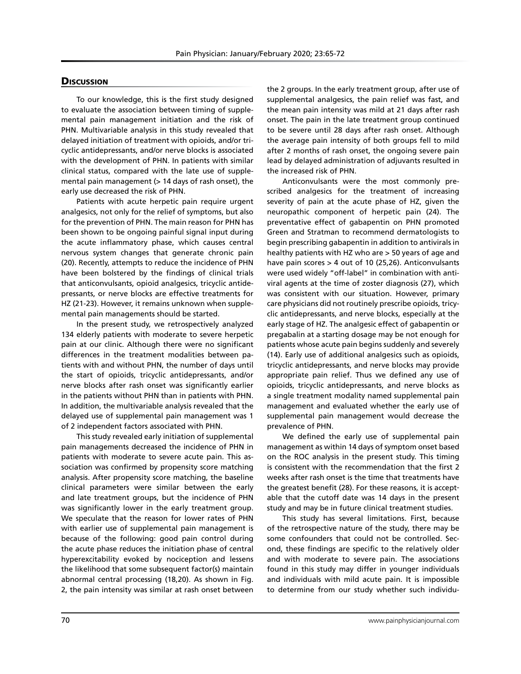## **Discussion**

To our knowledge, this is the first study designed to evaluate the association between timing of supplemental pain management initiation and the risk of PHN. Multivariable analysis in this study revealed that delayed initiation of treatment with opioids, and/or tricyclic antidepressants, and/or nerve blocks is associated with the development of PHN. In patients with similar clinical status, compared with the late use of supplemental pain management (> 14 days of rash onset), the early use decreased the risk of PHN.

Patients with acute herpetic pain require urgent analgesics, not only for the relief of symptoms, but also for the prevention of PHN. The main reason for PHN has been shown to be ongoing painful signal input during the acute inflammatory phase, which causes central nervous system changes that generate chronic pain (20). Recently, attempts to reduce the incidence of PHN have been bolstered by the findings of clinical trials that anticonvulsants, opioid analgesics, tricyclic antidepressants, or nerve blocks are effective treatments for HZ (21-23). However, it remains unknown when supplemental pain managements should be started.

In the present study, we retrospectively analyzed 134 elderly patients with moderate to severe herpetic pain at our clinic. Although there were no significant differences in the treatment modalities between patients with and without PHN, the number of days until the start of opioids, tricyclic antidepressants, and/or nerve blocks after rash onset was significantly earlier in the patients without PHN than in patients with PHN. In addition, the multivariable analysis revealed that the delayed use of supplemental pain management was 1 of 2 independent factors associated with PHN.

This study revealed early initiation of supplemental pain managements decreased the incidence of PHN in patients with moderate to severe acute pain. This association was confirmed by propensity score matching analysis. After propensity score matching, the baseline clinical parameters were similar between the early and late treatment groups, but the incidence of PHN was significantly lower in the early treatment group. We speculate that the reason for lower rates of PHN with earlier use of supplemental pain management is because of the following: good pain control during the acute phase reduces the initiation phase of central hyperexcitability evoked by nociception and lessens the likelihood that some subsequent factor(s) maintain abnormal central processing (18,20). As shown in Fig. 2, the pain intensity was similar at rash onset between

the 2 groups. In the early treatment group, after use of supplemental analgesics, the pain relief was fast, and the mean pain intensity was mild at 21 days after rash onset. The pain in the late treatment group continued to be severe until 28 days after rash onset. Although the average pain intensity of both groups fell to mild after 2 months of rash onset, the ongoing severe pain lead by delayed administration of adjuvants resulted in the increased risk of PHN.

Anticonvulsants were the most commonly prescribed analgesics for the treatment of increasing severity of pain at the acute phase of HZ, given the neuropathic component of herpetic pain (24). The preventative effect of gabapentin on PHN promoted Green and Stratman to recommend dermatologists to begin prescribing gabapentin in addition to antivirals in healthy patients with HZ who are > 50 years of age and have pain scores > 4 out of 10 (25,26). Anticonvulsants were used widely "off-label" in combination with antiviral agents at the time of zoster diagnosis (27), which was consistent with our situation. However, primary care physicians did not routinely prescribe opioids, tricyclic antidepressants, and nerve blocks, especially at the early stage of HZ. The analgesic effect of gabapentin or pregabalin at a starting dosage may be not enough for patients whose acute pain begins suddenly and severely (14). Early use of additional analgesics such as opioids, tricyclic antidepressants, and nerve blocks may provide appropriate pain relief. Thus we defined any use of opioids, tricyclic antidepressants, and nerve blocks as a single treatment modality named supplemental pain management and evaluated whether the early use of supplemental pain management would decrease the prevalence of PHN.

We defined the early use of supplemental pain management as within 14 days of symptom onset based on the ROC analysis in the present study. This timing is consistent with the recommendation that the first 2 weeks after rash onset is the time that treatments have the greatest benefit (28). For these reasons, it is acceptable that the cutoff date was 14 days in the present study and may be in future clinical treatment studies.

This study has several limitations. First, because of the retrospective nature of the study, there may be some confounders that could not be controlled. Second, these findings are specific to the relatively older and with moderate to severe pain. The associations found in this study may differ in younger individuals and individuals with mild acute pain. It is impossible to determine from our study whether such individu-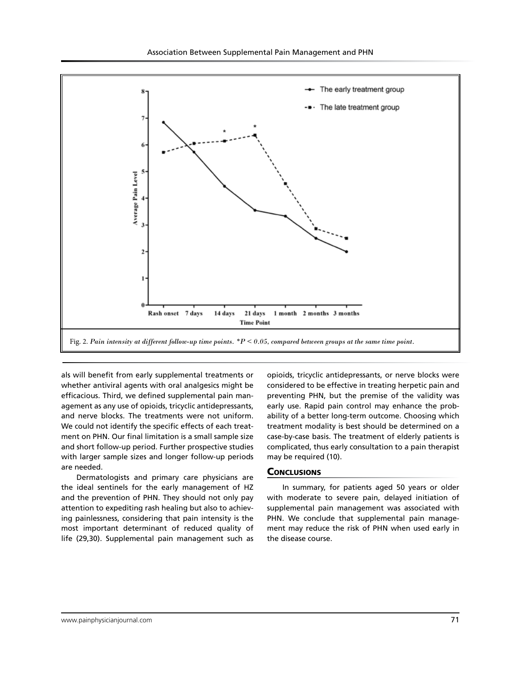

als will benefit from early supplemental treatments or whether antiviral agents with oral analgesics might be efficacious. Third, we defined supplemental pain management as any use of opioids, tricyclic antidepressants, and nerve blocks. The treatments were not uniform. We could not identify the specific effects of each treatment on PHN. Our final limitation is a small sample size and short follow-up period. Further prospective studies with larger sample sizes and longer follow-up periods are needed.

Dermatologists and primary care physicians are the ideal sentinels for the early management of HZ and the prevention of PHN. They should not only pay attention to expediting rash healing but also to achieving painlessness, considering that pain intensity is the most important determinant of reduced quality of life (29,30). Supplemental pain management such as

opioids, tricyclic antidepressants, or nerve blocks were considered to be effective in treating herpetic pain and preventing PHN, but the premise of the validity was early use. Rapid pain control may enhance the probability of a better long-term outcome. Choosing which treatment modality is best should be determined on a case-by-case basis. The treatment of elderly patients is complicated, thus early consultation to a pain therapist may be required (10).

## **CONCLUSIONS**

In summary, for patients aged 50 years or older with moderate to severe pain, delayed initiation of supplemental pain management was associated with PHN. We conclude that supplemental pain management may reduce the risk of PHN when used early in the disease course.